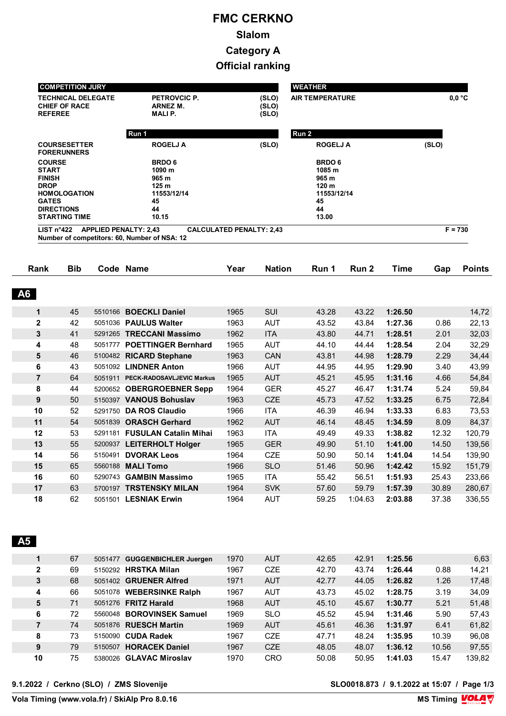# **FMC CERKNO Slalom Category A Official ranking**

| <b>REFEREE</b>                                                                | <b>TECHNICAL DELEGATE</b><br><b>CHIEF OF RACE</b>                | <b>PETROVCIC P.</b><br><b>ARNEZ M.</b><br><b>MALIP.</b>                                 |                                 | (SLO)<br>(SLO)<br>(SLO)                                                                 | <b>AIR TEMPERATURE</b> |                |                    |                | 0.0 °C                                                                                                                                                      |
|-------------------------------------------------------------------------------|------------------------------------------------------------------|-----------------------------------------------------------------------------------------|---------------------------------|-----------------------------------------------------------------------------------------|------------------------|----------------|--------------------|----------------|-------------------------------------------------------------------------------------------------------------------------------------------------------------|
|                                                                               |                                                                  | Run 1                                                                                   |                                 |                                                                                         | Run 2                  |                |                    |                |                                                                                                                                                             |
|                                                                               | <b>COURSESETTER</b><br><b>FORERUNNERS</b>                        | <b>ROGELJ A</b>                                                                         |                                 | (SLO)                                                                                   | <b>ROGELJ A</b>        |                |                    | (SLO)          |                                                                                                                                                             |
| <b>COURSE</b><br><b>START</b><br><b>FINISH</b><br><b>DROP</b><br><b>GATES</b> | <b>HOMOLOGATION</b><br><b>DIRECTIONS</b><br><b>STARTING TIME</b> | <b>BRDO6</b><br>1090 m<br>965 m<br>125 <sub>m</sub><br>11553/12/14<br>45<br>44<br>10.15 |                                 | <b>BRDO6</b><br>1085 m<br>965 m<br>120 <sub>m</sub><br>11553/12/14<br>45<br>44<br>13.00 |                        |                |                    |                |                                                                                                                                                             |
| LIST $n^{\circ}422$                                                           |                                                                  | <b>APPLIED PENALTY: 2,43</b><br>Number of competitors: 60, Number of NSA: 12            | <b>CALCULATED PENALTY: 2,43</b> |                                                                                         |                        |                |                    |                | $F = 730$                                                                                                                                                   |
| Rank                                                                          | <b>Bib</b>                                                       | Code Name                                                                               | Year                            | <b>Nation</b>                                                                           | Run 1                  | Run 2          | Time               | Gap            | <b>Points</b>                                                                                                                                               |
| <b>A6</b>                                                                     |                                                                  |                                                                                         |                                 |                                                                                         |                        |                |                    |                |                                                                                                                                                             |
|                                                                               |                                                                  |                                                                                         |                                 |                                                                                         |                        |                |                    |                |                                                                                                                                                             |
| $\mathbf{1}$                                                                  | 45                                                               | 5510166 BOECKLI Daniel                                                                  | 1965                            | SUI                                                                                     | 43.28                  | 43.22          | 1:26.50            |                |                                                                                                                                                             |
| $\mathbf{2}$                                                                  | 42                                                               | 5051036 PAULUS Walter                                                                   | 1963                            | <b>AUT</b>                                                                              | 43.52                  | 43.84          | 1:27.36            | 0.86           |                                                                                                                                                             |
| $\mathbf{3}$                                                                  | 41                                                               | 5291265 TRECCANI Massimo                                                                | 1962                            | <b>ITA</b>                                                                              | 43.80                  | 44.71          | 1:28.51            | 2.01           |                                                                                                                                                             |
| 4                                                                             | 48                                                               | 5051777 POETTINGER Bernhard                                                             | 1965                            | <b>AUT</b>                                                                              | 44.10                  | 44.44          | 1:28.54            | 2.04           |                                                                                                                                                             |
| 5                                                                             | 46                                                               | 5100482 RICARD Stephane                                                                 | 1963                            | <b>CAN</b>                                                                              | 43.81                  | 44.98          | 1:28.79            | 2.29           |                                                                                                                                                             |
| 6                                                                             | 43                                                               | 5051092 LINDNER Anton                                                                   | 1966                            | <b>AUT</b>                                                                              | 44.95                  | 44.95          | 1:29.90            | 3.40           |                                                                                                                                                             |
| $\overline{7}$                                                                | 64                                                               | 5051911 PECK-RADOSAVLJEVIC Markus                                                       | 1965                            | <b>AUT</b>                                                                              | 45.21                  | 45.95          | 1:31.16            | 4.66           |                                                                                                                                                             |
| 8                                                                             | 44                                                               | 5200652 OBERGROEBNER Sepp                                                               | 1964                            | <b>GER</b>                                                                              | 45.27                  | 46.47          | 1:31.74            | 5.24           |                                                                                                                                                             |
| 9                                                                             | 50                                                               | 5150397 VANOUS Bohuslav                                                                 | 1963                            | <b>CZE</b>                                                                              | 45.73                  | 47.52          | 1:33.25            | 6.75           |                                                                                                                                                             |
| 10                                                                            | 52                                                               | 5291750 DA ROS Claudio                                                                  | 1966                            | <b>ITA</b>                                                                              | 46.39                  | 46.94          | 1:33.33            | 6.83           |                                                                                                                                                             |
| 11                                                                            | 54                                                               | 5051839 ORASCH Gerhard                                                                  | 1962                            | <b>AUT</b>                                                                              | 46.14                  | 48.45          | 1:34.59            | 8.09           |                                                                                                                                                             |
| 12                                                                            | 53                                                               | 5291181 FUSULAN Catalin Mihai                                                           | 1963                            | <b>ITA</b>                                                                              | 49.49                  | 49.33          | 1:38.82            | 12.32          |                                                                                                                                                             |
| 13                                                                            | 55                                                               | 5200937 LEITERHOLT Holger                                                               | 1965                            | <b>GER</b>                                                                              | 49.90                  | 51.10          | 1:41.00            | 14.50          |                                                                                                                                                             |
| 14                                                                            | 56                                                               | 5150491 <b>DVORAK Leos</b>                                                              | 1964                            | <b>CZE</b>                                                                              | 50.90                  | 50.14          | 1:41.04            | 14.54          |                                                                                                                                                             |
| 15                                                                            | 65                                                               | 5560188 MALI Tomo                                                                       | 1966                            | <b>SLO</b>                                                                              | 51.46                  | 50.96          | 1:42.42            | 15.92          |                                                                                                                                                             |
| 16<br>17                                                                      | 60<br>63                                                         | 5290743 GAMBIN Massimo<br>5700197 TRSTENSKY MILAN                                       | 1965<br>1964                    | <b>ITA</b><br><b>SVK</b>                                                                | 55.42<br>57.60         | 56.51<br>59.79 | 1:51.93<br>1:57.39 | 25.43<br>30.89 | 14,72<br>22,13<br>32,03<br>32,29<br>34,44<br>43,99<br>54,84<br>59,84<br>72,84<br>73,53<br>84,37<br>120,79<br>139,56<br>139,90<br>151,79<br>233,66<br>280,67 |

 **A5** 

|              | 67 |         | 5051477 GUGGENBICHLER Juergen | 1970 | <b>AUT</b> | 42.65 | 42.91 | 1:25.56 |       | 6,63   |
|--------------|----|---------|-------------------------------|------|------------|-------|-------|---------|-------|--------|
| $\mathbf{2}$ | 69 |         | 5150292 HRSTKA Milan          | 1967 | <b>CZE</b> | 42.70 | 43.74 | 1:26.44 | 0.88  | 14,21  |
| 3            | 68 |         | 5051402 GRUENER Alfred        | 1971 | <b>AUT</b> | 42.77 | 44.05 | 1:26.82 | 1.26  | 17,48  |
| 4            | 66 | 5051078 | <b>WEBERSINKE Ralph</b>       | 1967 | <b>AUT</b> | 43.73 | 45.02 | 1:28.75 | 3.19  | 34.09  |
| 5            | 71 |         | 5051276 <b>FRITZ Harald</b>   | 1968 | <b>AUT</b> | 45.10 | 45.67 | 1:30.77 | 5.21  | 51,48  |
| 6            | 72 |         | 5560048 BOROVINSEK Samuel     | 1969 | <b>SLO</b> | 45.52 | 45.94 | 1:31.46 | 5.90  | 57.43  |
|              | 74 |         | 5051876 RUESCH Martin         | 1969 | <b>AUT</b> | 45.61 | 46.36 | 1:31.97 | 6.41  | 61,82  |
| 8            | 73 |         | 5150090 CUDA Radek            | 1967 | <b>CZE</b> | 47.71 | 48.24 | 1:35.95 | 10.39 | 96.08  |
| 9            | 79 |         | 5150507 HORACEK Daniel        | 1967 | <b>CZE</b> | 48.05 | 48.07 | 1:36.12 | 10.56 | 97,55  |
| 10           | 75 |         | 5380026 GLAVAC Miroslav       | 1970 | <b>CRO</b> | 50.08 | 50.95 | 1:41.03 | 15.47 | 139,82 |
|              |    |         |                               |      |            |       |       |         |       |        |

**9.1.2022 / Cerkno (SLO) / ZMS Slovenije SLO0018.873 / 9.1.2022 at 15:07 / Page 1/3**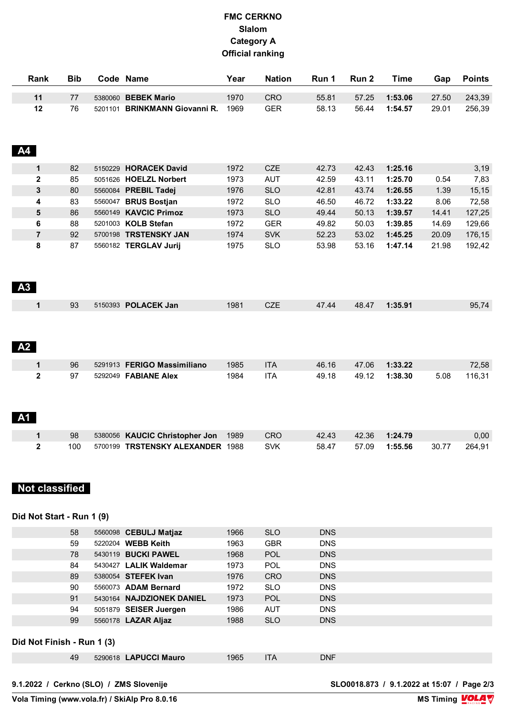### **FMC CERKNO Slalom Category A Official ranking**

| Rank      | <b>Bib</b>                | Code Name                        | Year | <b>Nation</b> | Run 1      | Run 2 | <b>Time</b> | Gap   | <b>Points</b> |
|-----------|---------------------------|----------------------------------|------|---------------|------------|-------|-------------|-------|---------------|
| 11        | 77                        | 5380060 BEBEK Mario              | 1970 | <b>CRO</b>    | 55.81      | 57.25 | 1:53.06     | 27.50 | 243,39        |
|           | 12<br>76                  | 5201101 BRINKMANN Giovanni R.    | 1969 | <b>GER</b>    | 58.13      | 56.44 | 1:54.57     | 29.01 | 256,39        |
| <b>A4</b> |                           |                                  |      |               |            |       |             |       |               |
|           | $\mathbf 1$<br>82         | 5150229 HORACEK David            | 1972 | CZE           | 42.73      | 42.43 | 1:25.16     |       | 3,19          |
|           | 2<br>85                   | 5051626 HOELZL Norbert           | 1973 | <b>AUT</b>    | 42.59      | 43.11 | 1:25.70     | 0.54  | 7,83          |
|           | 3<br>80                   | 5560084 PREBIL Tadej             | 1976 | <b>SLO</b>    | 42.81      | 43.74 | 1:26.55     | 1.39  | 15, 15        |
|           | 4<br>83                   | 5560047 BRUS Bostjan             | 1972 | <b>SLO</b>    | 46.50      | 46.72 | 1:33.22     | 8.06  | 72,58         |
|           | 5<br>86                   | 5560149 KAVCIC Primoz            | 1973 | <b>SLO</b>    | 49.44      | 50.13 | 1:39.57     | 14.41 | 127,25        |
|           | 6<br>88                   | 5201003 KOLB Stefan              | 1972 | <b>GER</b>    | 49.82      | 50.03 | 1:39.85     | 14.69 | 129,66        |
|           | $\overline{7}$<br>92      | 5700198 TRSTENSKY JAN            | 1974 | <b>SVK</b>    | 52.23      | 53.02 | 1:45.25     | 20.09 | 176,15        |
| A3        | 8<br>87                   | 5560182 TERGLAV Jurij            | 1975 | <b>SLO</b>    | 53.98      | 53.16 | 1:47.14     | 21.98 | 192,42        |
|           | 1<br>93                   | 5150393 POLACEK Jan              | 1981 | <b>CZE</b>    | 47.44      | 48.47 | 1:35.91     |       | 95,74         |
| A2        |                           |                                  |      |               |            |       |             |       |               |
|           | 1<br>96                   | 5291913 FERIGO Massimiliano      | 1985 | <b>ITA</b>    | 46.16      | 47.06 | 1:33.22     |       | 72,58         |
|           | $\mathbf 2$<br>97         | 5292049 FABIANE Alex             | 1984 | <b>ITA</b>    | 49.18      | 49.12 | 1:38.30     | 5.08  | 116,31        |
| <b>A1</b> |                           |                                  |      |               |            |       |             |       |               |
|           | 1<br>98                   | 5380056 KAUCIC Christopher Jon   | 1989 | <b>CRO</b>    | 42.43      | 42.36 | 1:24.79     |       | 0,00          |
|           | $\mathbf{2}$<br>100       | 5700199 TRSTENSKY ALEXANDER 1988 |      | <b>SVK</b>    | 58.47      | 57.09 | 1:55.56     | 30.77 | 264.91        |
|           | <b>Not classified</b>     |                                  |      |               |            |       |             |       |               |
|           | Did Not Start - Run 1 (9) |                                  |      |               |            |       |             |       |               |
|           | 58                        | 5560098 CEBULJ Matjaz            | 1966 | <b>SLO</b>    | <b>DNS</b> |       |             |       |               |
|           | 59                        | 5220204 WEBB Keith               | 1963 | <b>GBR</b>    | <b>DNS</b> |       |             |       |               |
|           | 78                        | 5430119 BUCKI PAWEL              | 1968 | <b>POL</b>    | <b>DNS</b> |       |             |       |               |
|           | 84                        | 5430427 LALIK Waldemar           | 1973 | <b>POL</b>    | <b>DNS</b> |       |             |       |               |
|           | 89                        | 5380054 STEFEK Ivan              | 1976 | CRO           | <b>DNS</b> |       |             |       |               |

 5560073 **ADAM Bernard** 1972 SLO DNS 5430164 **NAJDZIONEK DANIEL** 1973 POL DNS 5051879 **SEISER Juergen** 1986 AUT DNS 5560178 **LAZAR Aljaz** 1988 SLO DNS

49 5290618 **LAPUCCI Mauro** 1965 ITA DNF

**Did Not Finish - Run 1 (3)**

**MS Timing VOLA V**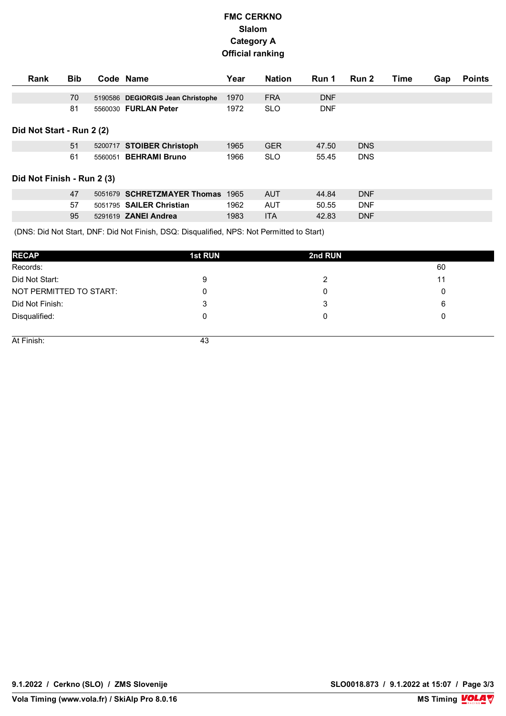## **FMC CERKNO Slalom Category A Official ranking**

| Rank                       | <b>Bib</b> |         | Code Name                         | Year | <b>Nation</b> | Run 1      | <b>Run 2</b> | Time | Gap | <b>Points</b> |
|----------------------------|------------|---------|-----------------------------------|------|---------------|------------|--------------|------|-----|---------------|
|                            | 70         |         | 5190586 DEGIORGIS Jean Christophe | 1970 | <b>FRA</b>    | <b>DNF</b> |              |      |     |               |
|                            | 81         |         | 5560030 FURLAN Peter              | 1972 | <b>SLO</b>    | <b>DNF</b> |              |      |     |               |
| Did Not Start - Run 2 (2)  |            |         |                                   |      |               |            |              |      |     |               |
|                            | 51         |         | 5200717 STOIBER Christoph         | 1965 | <b>GER</b>    | 47.50      | <b>DNS</b>   |      |     |               |
|                            | 61         | 5560051 | <b>BEHRAMI Bruno</b>              | 1966 | <b>SLO</b>    | 55.45      | <b>DNS</b>   |      |     |               |
| Did Not Finish - Run 2 (3) |            |         |                                   |      |               |            |              |      |     |               |
|                            | 47         |         | 5051679 SCHRETZMAYER Thomas       | 1965 | <b>AUT</b>    | 44.84      | <b>DNF</b>   |      |     |               |
|                            | 57         |         | 5051795 SAILER Christian          | 1962 | <b>AUT</b>    | 50.55      | <b>DNF</b>   |      |     |               |
|                            | 95         |         | 5291619 ZANEI Andrea              | 1983 | <b>ITA</b>    | 42.83      | <b>DNF</b>   |      |     |               |

Did Not Start, DNF: Did Not Finish, DSO: Disqualified, NPS: Not Permitted to Start) (DNS: Did Not Start, DNF: Did Not Finish, DSQ: Disqualified, NPS: Not Permitted to Start)

| <b>RECAP</b>            | <b>1st RUN</b> | 2nd RUN |    |
|-------------------------|----------------|---------|----|
| Records:                |                |         | 60 |
| Did Not Start:          | 9              |         |    |
| NOT PERMITTED TO START: | 0              |         |    |
| Did Not Finish:         | 3              |         |    |
| Disqualified:           | 0              |         |    |
|                         |                |         |    |
| At Finish:              | 43             |         |    |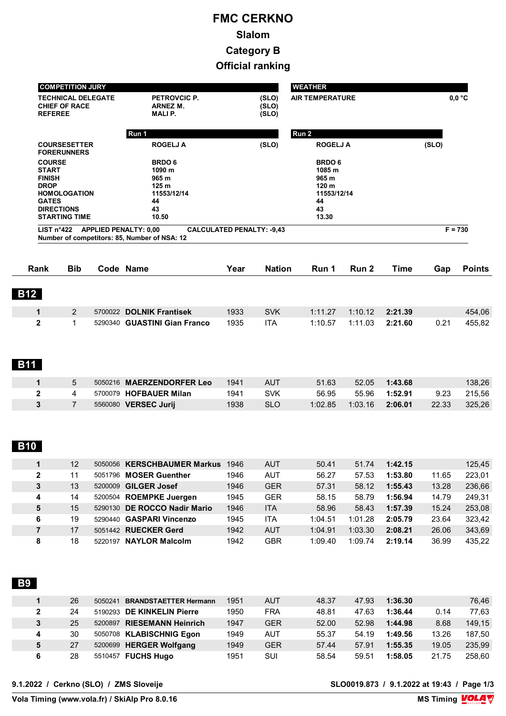# **FMC CERKNO Slalom Category B Official ranking**

|                                                                               | <b>COMPETITION JURY</b>                                          |                                                                                                                  |                                                                                          |                         | <b>WEATHER</b>         |         |         |       |               |
|-------------------------------------------------------------------------------|------------------------------------------------------------------|------------------------------------------------------------------------------------------------------------------|------------------------------------------------------------------------------------------|-------------------------|------------------------|---------|---------|-------|---------------|
| <b>REFEREE</b>                                                                | <b>TECHNICAL DELEGATE</b><br><b>CHIEF OF RACE</b>                | PETROVCIC P.<br>ARNEZ M.<br><b>MALIP.</b>                                                                        |                                                                                          | (SLO)<br>(SLO)<br>(SLO) | <b>AIR TEMPERATURE</b> |         |         |       | $0,0$ °C      |
|                                                                               |                                                                  | Run 1                                                                                                            |                                                                                          |                         | Run 2                  |         |         |       |               |
|                                                                               | <b>COURSESETTER</b><br><b>FORERUNNERS</b>                        | <b>ROGELJ A</b>                                                                                                  |                                                                                          | (SLO)                   | <b>ROGELJ A</b>        |         |         | (SLO) |               |
| <b>COURSE</b><br><b>START</b><br><b>FINISH</b><br><b>DROP</b><br><b>GATES</b> | <b>HOMOLOGATION</b><br><b>DIRECTIONS</b><br><b>STARTING TIME</b> | <b>BRDO6</b><br>1090 m<br>965 m<br>125 <sub>m</sub><br>11553/12/14<br>44<br>43<br>10.50                          | <b>BRDO 6</b><br>1085 m<br>965 m<br>120 <sub>m</sub><br>11553/12/14<br>44<br>43<br>13.30 |                         |                        |         |         |       |               |
| LIST $n^{\circ}422$                                                           |                                                                  | <b>APPLIED PENALTY: 0,00</b><br><b>CALCULATED PENALTY: -9,43</b><br>Number of competitors: 85, Number of NSA: 12 |                                                                                          |                         |                        |         |         |       | $F = 730$     |
| <b>Rank</b>                                                                   | <b>Bib</b>                                                       | Code Name                                                                                                        | Year                                                                                     | <b>Nation</b>           | Run 1                  | Run 2   | Time    | Gap   | <b>Points</b> |
|                                                                               |                                                                  |                                                                                                                  |                                                                                          |                         |                        |         |         |       |               |
| <b>B12</b>                                                                    |                                                                  |                                                                                                                  |                                                                                          |                         |                        |         |         |       |               |
| 1                                                                             | 2                                                                | 5700022 DOLNIK Frantisek                                                                                         | 1933                                                                                     | <b>SVK</b>              | 1:11.27                | 1:10.12 | 2:21.39 |       | 454,06        |
| $\overline{\mathbf{2}}$                                                       | $\mathbf{1}$                                                     | 5290340 GUASTINI Gian Franco                                                                                     | 1935                                                                                     | <b>ITA</b>              | 1:10.57                | 1:11.03 | 2:21.60 | 0.21  | 455,82        |
| <b>B11</b>                                                                    |                                                                  |                                                                                                                  |                                                                                          |                         |                        |         |         |       |               |
| 1                                                                             | 5                                                                | 5050216 MAERZENDORFER Leo                                                                                        | 1941                                                                                     | <b>AUT</b>              | 51.63                  | 52.05   | 1:43.68 |       | 138,26        |
| $\overline{2}$                                                                | 4                                                                | 5700079 HOFBAUER Milan                                                                                           | 1941                                                                                     | <b>SVK</b>              | 56.95                  | 55.96   | 1:52.91 | 9.23  | 215,56        |
| 3<br><b>B10</b>                                                               | $\overline{7}$                                                   | 5560080 VERSEC Jurij                                                                                             | 1938                                                                                     | <b>SLO</b>              | 1:02.85                | 1:03.16 | 2:06.01 | 22.33 | 325,26        |
| $\mathbf 1$                                                                   | 12                                                               | 5050056 KERSCHBAUMER Markus                                                                                      | 1946                                                                                     | <b>AUT</b>              | 50.41                  | 51.74   | 1:42.15 |       | 125,45        |
| $\mathbf 2$                                                                   | 11                                                               | 5051796 MOSER Guenther                                                                                           | 1946                                                                                     | <b>AUT</b>              | 56.27                  | 57.53   | 1:53.80 | 11.65 | 223,01        |
| 3                                                                             | 13                                                               | 5200009 GILGER Josef                                                                                             | 1946                                                                                     | <b>GER</b>              | 57.31                  | 58.12   | 1:55.43 | 13.28 | 236,66        |
| 4                                                                             | 14                                                               | 5200504 ROEMPKE Juergen                                                                                          | 1945                                                                                     | <b>GER</b>              | 58.15                  | 58.79   | 1:56.94 | 14.79 | 249,31        |
| 5                                                                             | 15                                                               | 5290130 DE ROCCO Nadir Mario                                                                                     | 1946                                                                                     | <b>ITA</b>              | 58.96                  | 58.43   | 1:57.39 | 15.24 | 253,08        |
| 6                                                                             | 19                                                               | 5290440 GASPARI Vincenzo                                                                                         | 1945                                                                                     | ITA                     | 1:04.51                | 1:01.28 | 2:05.79 | 23.64 | 323,42        |
| $\overline{\mathbf{7}}$                                                       | 17                                                               | 5051442 RUECKER Gerd                                                                                             | 1942                                                                                     | <b>AUT</b>              | 1:04.91                | 1:03.30 | 2:08.21 | 26.06 | 343,69        |
| 8                                                                             | 18                                                               | 5220197 NAYLOR Malcolm                                                                                           | 1942                                                                                     | <b>GBR</b>              | 1:09.40                | 1:09.74 | 2:19.14 | 36.99 | 435,22        |
| <b>B9</b>                                                                     |                                                                  |                                                                                                                  |                                                                                          |                         |                        |         |         |       |               |
| 1                                                                             | 26                                                               | 5050241 BRANDSTAETTER Hermann                                                                                    | 1951                                                                                     | <b>AUT</b>              | 48.37                  | 47.93   | 1:36.30 |       | 76,46         |
| $\mathbf 2$                                                                   | 24                                                               | 5190293 DE KINKELIN Pierre                                                                                       | 1950                                                                                     | <b>FRA</b>              | 48.81                  | 47.63   | 1:36.44 | 0.14  | 77,63         |
| 3                                                                             | 25                                                               | 5200897 RIESEMANN Heinrich                                                                                       | 1947                                                                                     | <b>GER</b>              | 52.00                  | 52.98   | 1:44.98 | 8.68  | 149,15        |
| 4                                                                             | 30                                                               | 5050708 KLABISCHNIG Egon                                                                                         | 1949                                                                                     | <b>AUT</b>              | 55.37                  | 54.19   | 1:49.56 | 13.26 | 187,50        |
| 5                                                                             | 27                                                               | 5200699 HERGER Wolfgang                                                                                          | 1949                                                                                     | <b>GER</b>              | 57.44                  | 57.91   | 1:55.35 | 19.05 | 235,99        |
| 6                                                                             | 28                                                               | 5510457 FUCHS Hugo                                                                                               | 1951                                                                                     | SUI                     | 58.54                  | 59.51   | 1:58.05 | 21.75 | 258,60        |

**9.1.2022 / Cerkno (SLO) / ZMS Sloveije SLO0019.873 / 9.1.2022 at 19:43 / Page 1/3**

**Vola Timing (www.vola.fr) / SkiAlp Pro 8.0.16**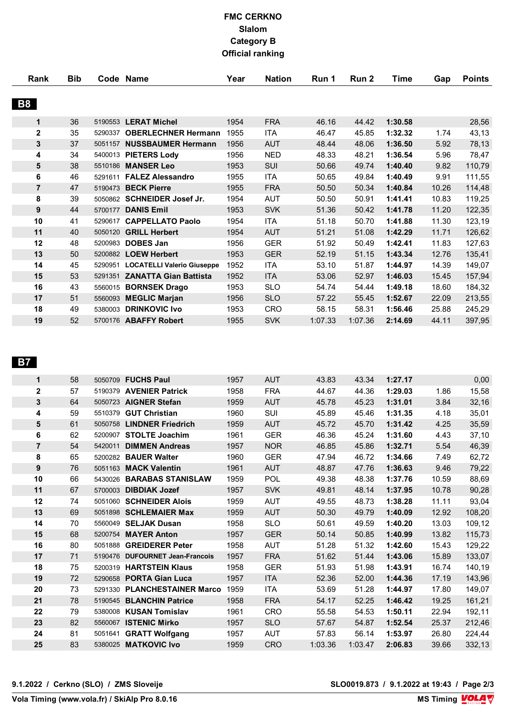## **FMC CERKNO Slalom Category B Official ranking**

| Rank           | <b>Bib</b> |         | Code Name                          | Year | <b>Nation</b> | Run 1   | Run 2   | Time    | Gap   | <b>Points</b> |
|----------------|------------|---------|------------------------------------|------|---------------|---------|---------|---------|-------|---------------|
| <b>B8</b>      |            |         |                                    |      |               |         |         |         |       |               |
| 1              | 36         | 5190553 | <b>LERAT Michel</b>                | 1954 | <b>FRA</b>    | 46.16   | 44.42   | 1:30.58 |       | 28,56         |
| $\mathbf 2$    | 35         | 5290337 | <b>OBERLECHNER Hermann</b>         | 1955 | ITA           | 46.47   | 45.85   | 1:32.32 | 1.74  | 43,13         |
| 3              | 37         | 5051157 | <b>NUSSBAUMER Hermann</b>          | 1956 | <b>AUT</b>    | 48.44   | 48.06   | 1:36.50 | 5.92  | 78,13         |
| 4              | 34         | 5400013 | <b>PIETERS Lody</b>                | 1956 | <b>NED</b>    | 48.33   | 48.21   | 1:36.54 | 5.96  | 78,47         |
| 5              | 38         | 5510186 | <b>MANSER Leo</b>                  | 1953 | SUI           | 50.66   | 49.74   | 1:40.40 | 9.82  | 110,79        |
| 6              | 46         | 5291611 | <b>FALEZ Alessandro</b>            | 1955 | <b>ITA</b>    | 50.65   | 49.84   | 1:40.49 | 9.91  | 111,55        |
| $\overline{7}$ | 47         | 5190473 | <b>BECK Pierre</b>                 | 1955 | <b>FRA</b>    | 50.50   | 50.34   | 1:40.84 | 10.26 | 114,48        |
| 8              | 39         |         | 5050862 SCHNEIDER Josef Jr.        | 1954 | <b>AUT</b>    | 50.50   | 50.91   | 1:41.41 | 10.83 | 119,25        |
| 9              | 44         | 5700177 | <b>DANIS Emil</b>                  | 1953 | <b>SVK</b>    | 51.36   | 50.42   | 1:41.78 | 11.20 | 122,35        |
| 10             | 41         | 5290617 | <b>CAPPELLATO Paolo</b>            | 1954 | ITA           | 51.18   | 50.70   | 1:41.88 | 11.30 | 123,19        |
| 11             | 40         | 5050120 | <b>GRILL Herbert</b>               | 1954 | <b>AUT</b>    | 51.21   | 51.08   | 1:42.29 | 11.71 | 126,62        |
| 12             | 48         | 5200983 | <b>DOBES Jan</b>                   | 1956 | <b>GER</b>    | 51.92   | 50.49   | 1:42.41 | 11.83 | 127,63        |
| 13             | 50         |         | 5200882 LOEW Herbert               | 1953 | <b>GER</b>    | 52.19   | 51.15   | 1:43.34 | 12.76 | 135,41        |
| 14             | 45         |         | 5290951 LOCATELLI Valerio Giuseppe | 1952 | <b>ITA</b>    | 53.10   | 51.87   | 1:44.97 | 14.39 | 149,07        |
| 15             | 53         | 5291351 | <b>ZANATTA Gian Battista</b>       | 1952 | <b>ITA</b>    | 53.06   | 52.97   | 1:46.03 | 15.45 | 157,94        |
| 16             | 43         | 5560015 | <b>BORNSEK Drago</b>               | 1953 | <b>SLO</b>    | 54.74   | 54.44   | 1:49.18 | 18.60 | 184,32        |
| 17             | 51         | 5560093 | <b>MEGLIC Marjan</b>               | 1956 | <b>SLO</b>    | 57.22   | 55.45   | 1:52.67 | 22.09 | 213,55        |
| 18             | 49         | 5380003 | <b>DRINKOVIC Ivo</b>               | 1953 | <b>CRO</b>    | 58.15   | 58.31   | 1:56.46 | 25.88 | 245,29        |
| 19             | 52         |         | 5700176 ABAFFY Robert              | 1955 | <b>SVK</b>    | 1:07.33 | 1:07.36 | 2:14.69 | 44.11 | 397,95        |

#### **B7**

| $\mathbf 1$             | 58 |         | 5050709 FUCHS Paul              | 1957 | <b>AUT</b> | 43.83   | 43.34   | 1:27.17 |       | 0,00   |
|-------------------------|----|---------|---------------------------------|------|------------|---------|---------|---------|-------|--------|
| $\overline{\mathbf{2}}$ | 57 | 5190379 | <b>AVENIER Patrick</b>          | 1958 | <b>FRA</b> | 44.67   | 44.36   | 1:29.03 | 1.86  | 15,58  |
| 3                       | 64 |         | 5050723 AIGNER Stefan           | 1959 | <b>AUT</b> | 45.78   | 45.23   | 1:31.01 | 3.84  | 32,16  |
| 4                       | 59 | 5510379 | <b>GUT Christian</b>            | 1960 | SUI        | 45.89   | 45.46   | 1:31.35 | 4.18  | 35,01  |
| 5                       | 61 |         | 5050758 LINDNER Friedrich       | 1959 | <b>AUT</b> | 45.72   | 45.70   | 1:31.42 | 4.25  | 35,59  |
| 6                       | 62 | 5200907 | <b>STOLTE Joachim</b>           | 1961 | <b>GER</b> | 46.36   | 45.24   | 1:31.60 | 4.43  | 37,10  |
| $\overline{7}$          | 54 | 5420011 | <b>DIMMEN Andreas</b>           | 1957 | <b>NOR</b> | 46.85   | 45.86   | 1:32.71 | 5.54  | 46,39  |
| 8                       | 65 |         | 5200282 BAUER Walter            | 1960 | <b>GER</b> | 47.94   | 46.72   | 1:34.66 | 7.49  | 62,72  |
| 9                       | 76 |         | 5051163 MACK Valentin           | 1961 | <b>AUT</b> | 48.87   | 47.76   | 1:36.63 | 9.46  | 79,22  |
| 10                      | 66 |         | 5430026 BARABAS STANISLAW       | 1959 | POL        | 49.38   | 48.38   | 1:37.76 | 10.59 | 88,69  |
| 11                      | 67 |         | 5700003 DIBDIAK Jozef           | 1957 | <b>SVK</b> | 49.81   | 48.14   | 1:37.95 | 10.78 | 90,28  |
| 12                      | 74 |         | 5051060 SCHNEIDER Alois         | 1959 | <b>AUT</b> | 49.55   | 48.73   | 1:38.28 | 11.11 | 93,04  |
| 13                      | 69 |         | 5051898 SCHLEMAIER Max          | 1959 | <b>AUT</b> | 50.30   | 49.79   | 1:40.09 | 12.92 | 108,20 |
| 14                      | 70 |         | 5560049 SELJAK Dusan            | 1958 | <b>SLO</b> | 50.61   | 49.59   | 1:40.20 | 13.03 | 109,12 |
| 15                      | 68 |         | 5200754 MAYER Anton             | 1957 | <b>GER</b> | 50.14   | 50.85   | 1:40.99 | 13.82 | 115,73 |
| 16                      | 80 |         | 5051888 GREIDERER Peter         | 1958 | <b>AUT</b> | 51.28   | 51.32   | 1:42.60 | 15.43 | 129,22 |
| 17                      | 71 |         | 5190476 DUFOURNET Jean-Francois | 1957 | <b>FRA</b> | 51.62   | 51.44   | 1:43.06 | 15.89 | 133,07 |
| 18                      | 75 |         | 5200319 HARTSTEIN Klaus         | 1958 | <b>GER</b> | 51.93   | 51.98   | 1:43.91 | 16.74 | 140,19 |
| 19                      | 72 |         | 5290658 PORTA Gian Luca         | 1957 | <b>ITA</b> | 52.36   | 52.00   | 1:44.36 | 17.19 | 143,96 |
| 20                      | 73 |         | 5291330 PLANCHESTAINER Marco    | 1959 | <b>ITA</b> | 53.69   | 51.28   | 1:44.97 | 17.80 | 149,07 |
| 21                      | 78 |         | 5190545 BLANCHIN Patrice        | 1958 | <b>FRA</b> | 54.17   | 52.25   | 1:46.42 | 19.25 | 161,21 |
| 22                      | 79 |         | 5380008 KUSAN Tomislav          | 1961 | <b>CRO</b> | 55.58   | 54.53   | 1:50.11 | 22.94 | 192,11 |
| 23                      | 82 |         | 5560067 ISTENIC Mirko           | 1957 | <b>SLO</b> | 57.67   | 54.87   | 1:52.54 | 25.37 | 212,46 |
| 24                      | 81 |         | 5051641 GRATT Wolfgang          | 1957 | <b>AUT</b> | 57.83   | 56.14   | 1:53.97 | 26.80 | 224,44 |
| 25                      | 83 |         | 5380025 MATKOVIC Ivo            | 1959 | <b>CRO</b> | 1:03.36 | 1:03.47 | 2:06.83 | 39.66 | 332,13 |
|                         |    |         |                                 |      |            |         |         |         |       |        |

**9.1.2022 / Cerkno (SLO) / ZMS Sloveije SLO0019.873 / 9.1.2022 at 19:43 / Page 2/3**

**Vola Timing (www.vola.fr) / SkiAlp Pro 8.0.16**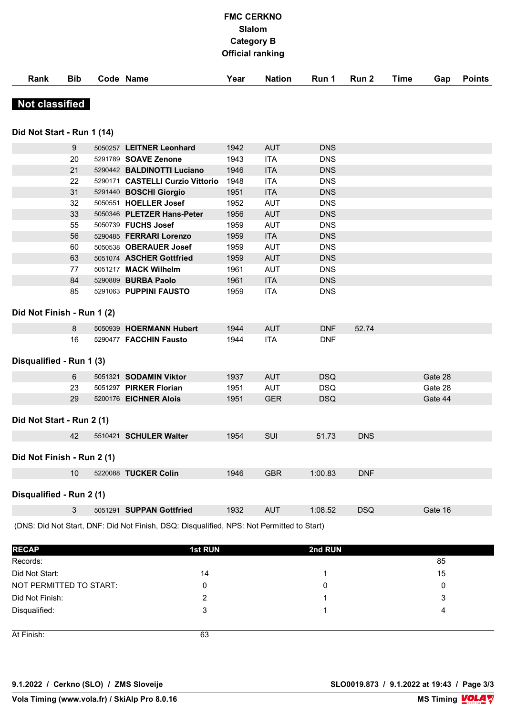## **FMC CERKNO Slalom Category B Official ranking**

**Rank Bib Code Name Year Nation Run 1 Run 2 Time Gap Points**

**WEATHER** 

| <b>Not classified</b>      |                  |                                       |      |            |            |            |         |
|----------------------------|------------------|---------------------------------------|------|------------|------------|------------|---------|
| Did Not Start - Run 1 (14) |                  |                                       |      |            |            |            |         |
|                            | $\boldsymbol{9}$ | 5050257 LEITNER Leonhard              | 1942 | <b>AUT</b> | <b>DNS</b> |            |         |
|                            | 20               | 5291789 <b>SOAVE Zenone</b>           | 1943 | <b>ITA</b> | <b>DNS</b> |            |         |
|                            | 21               | 5290442 BALDINOTTI Luciano            | 1946 | <b>ITA</b> | <b>DNS</b> |            |         |
|                            | 22               | 5290171 CASTELLI Curzio Vittorio 1948 |      | <b>ITA</b> | <b>DNS</b> |            |         |
|                            | 31               | 5291440 BOSCHI Giorgio                | 1951 | <b>ITA</b> | <b>DNS</b> |            |         |
|                            | 32               | 5050551 HOELLER Josef                 | 1952 | <b>AUT</b> | <b>DNS</b> |            |         |
|                            | 33               | 5050346 PLETZER Hans-Peter            | 1956 | <b>AUT</b> | <b>DNS</b> |            |         |
|                            | 55               | 5050739 FUCHS Josef                   | 1959 | <b>AUT</b> | <b>DNS</b> |            |         |
|                            | 56               | 5290485 FERRARI Lorenzo               | 1959 | <b>ITA</b> | <b>DNS</b> |            |         |
|                            | 60               | 5050538 OBERAUER Josef                | 1959 | <b>AUT</b> | <b>DNS</b> |            |         |
|                            | 63               | 5051074 ASCHER Gottfried              | 1959 | <b>AUT</b> | <b>DNS</b> |            |         |
|                            | 77               | 5051217 MACK Wilhelm                  | 1961 | <b>AUT</b> | <b>DNS</b> |            |         |
|                            | 84               | 5290889 BURBA Paolo                   | 1961 | <b>ITA</b> | <b>DNS</b> |            |         |
|                            | 85               | 5291063 PUPPINI FAUSTO                | 1959 | <b>ITA</b> | <b>DNS</b> |            |         |
| Did Not Finish - Run 1 (2) |                  |                                       |      |            |            |            |         |
|                            | 8                | 5050939 HOERMANN Hubert               | 1944 | <b>AUT</b> | <b>DNF</b> | 52.74      |         |
|                            | 16               | 5290477 FACCHIN Fausto                | 1944 | <b>ITA</b> | <b>DNF</b> |            |         |
| Disqualified - Run 1 (3)   |                  |                                       |      |            |            |            |         |
|                            | 6                | 5051321 SODAMIN Viktor                | 1937 | <b>AUT</b> | <b>DSQ</b> |            | Gate 28 |
|                            | 23               | 5051297 PIRKER Florian                | 1951 | <b>AUT</b> | <b>DSQ</b> |            | Gate 28 |
|                            | 29               | 5200176 EICHNER Alois                 | 1951 | <b>GER</b> | <b>DSQ</b> |            | Gate 44 |
| Did Not Start - Run 2 (1)  |                  |                                       |      |            |            |            |         |
|                            | 42               | 5510421 SCHULER Walter                | 1954 | <b>SUI</b> | 51.73      | <b>DNS</b> |         |
| Did Not Finish - Run 2 (1) |                  |                                       |      |            |            |            |         |
|                            | 10 <sup>1</sup>  | 5220088 TUCKER Colin                  | 1946 | <b>GBR</b> | 1:00.83    | <b>DNF</b> |         |
| Disqualified - Run 2 (1)   |                  |                                       |      |            |            |            |         |

3 5051291 **SUPPAN Gottfried** 1932 AUT 1:08.52 DSQ Gate 16

(DNS: Did Not Start, DNF: Did Not Finish, DSQ: Disqualified, NPS: Not Permitted to Start)

| <b>RECAP</b>            | <b>1st RUN</b> | 2nd RUN |    |
|-------------------------|----------------|---------|----|
| Records:                |                |         | 85 |
| Did Not Start:          | 14             |         | 15 |
| NOT PERMITTED TO START: | 0              | 0       |    |
| Did Not Finish:         | 2              |         | 3  |
| Disqualified:           | 3              |         | 4  |
|                         |                |         |    |
| At Finish:              | 63             |         |    |

**COMPETITION IN A REPORT OF PERSONAL PROPERTY** 

**9.1.2022 / Cerkno (SLO) / ZMS Sloveije SLO0019.873 / 9.1.2022 at 19:43 / Page 3/3**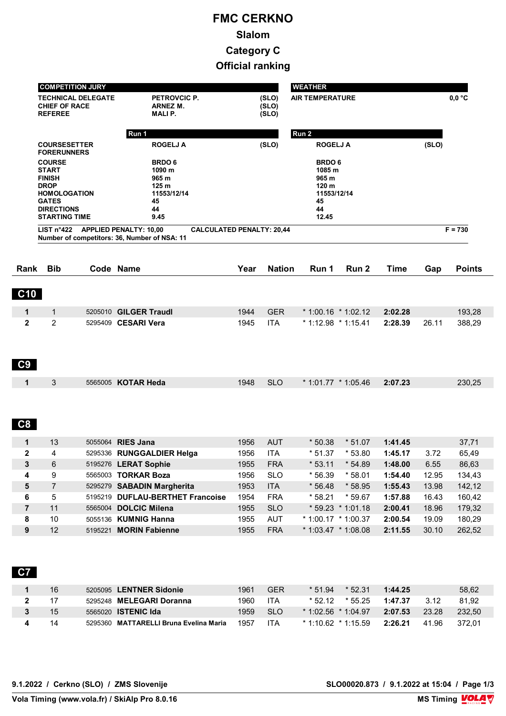# **FMC CERKNO Slalom Category C Official ranking**

|                                                               | <b>COMPETITION JURY</b>                                                                                                                           |                           |                                                                                                                       |              |                          | <b>WEATHER</b>                                                                          |                    |                |                            |
|---------------------------------------------------------------|---------------------------------------------------------------------------------------------------------------------------------------------------|---------------------------|-----------------------------------------------------------------------------------------------------------------------|--------------|--------------------------|-----------------------------------------------------------------------------------------|--------------------|----------------|----------------------------|
|                                                               | <b>CHIEF OF RACE</b><br><b>REFEREE</b>                                                                                                            | <b>TECHNICAL DELEGATE</b> | PETROVCIC P.<br>ARNEZ M.<br><b>MALIP.</b>                                                                             |              | (SLO)<br>(SLO)<br>(SLO)  | <b>AIR TEMPERATURE</b>                                                                  |                    |                | $0,0$ °C                   |
|                                                               |                                                                                                                                                   |                           | Run 1                                                                                                                 |              |                          | Run 2                                                                                   |                    |                |                            |
|                                                               | <b>COURSESETTER</b><br><b>FORERUNNERS</b>                                                                                                         |                           | <b>ROGELJ A</b>                                                                                                       |              | (SLO)                    | <b>ROGELJ A</b>                                                                         |                    | (SLO)          |                            |
|                                                               | <b>COURSE</b><br><b>START</b><br><b>FINISH</b><br><b>DROP</b><br><b>HOMOLOGATION</b><br><b>GATES</b><br><b>DIRECTIONS</b><br><b>STARTING TIME</b> |                           | <b>BRDO6</b><br>1090 m<br>965 m<br>125 <sub>m</sub><br>11553/12/14<br>45<br>44<br>9.45                                |              |                          | <b>BRDO6</b><br>1085 m<br>965 m<br>120 <sub>m</sub><br>11553/12/14<br>45<br>44<br>12.45 |                    |                |                            |
|                                                               |                                                                                                                                                   |                           | LIST n°422 APPLIED PENALTY: 10,00<br><b>CALCULATED PENALTY: 20,44</b><br>Number of competitors: 36, Number of NSA: 11 |              |                          |                                                                                         |                    |                | $F = 730$                  |
| Rank                                                          | <b>Bib</b>                                                                                                                                        |                           | Code Name                                                                                                             | Year         | <b>Nation</b>            | Run 2<br>Run 1                                                                          | <b>Time</b>        | Gap            | <b>Points</b>              |
|                                                               |                                                                                                                                                   |                           |                                                                                                                       |              |                          |                                                                                         |                    |                |                            |
| C10                                                           |                                                                                                                                                   |                           |                                                                                                                       |              |                          |                                                                                         |                    |                |                            |
| $\mathbf 1$                                                   | $\mathbf{1}$                                                                                                                                      |                           | 5205010 GILGER Traudl                                                                                                 | 1944         | <b>GER</b>               | $*1:00.16 * 1:02.12$                                                                    | 2:02.28            |                | 193,28                     |
| $\mathbf{2}$                                                  | 2                                                                                                                                                 |                           | 5295409 CESARI Vera                                                                                                   | 1945         | <b>ITA</b>               | * 1:12.98 * 1:15.41                                                                     | 2:28.39            | 26.11          | 388,29                     |
| C9                                                            |                                                                                                                                                   |                           |                                                                                                                       |              |                          |                                                                                         |                    |                |                            |
| $\mathbf{1}$                                                  | 3                                                                                                                                                 |                           | 5565005 KOTAR Heda                                                                                                    | 1948         | <b>SLO</b>               | $*$ 1:01.77 $*$ 1:05.46                                                                 | 2:07.23            |                | 230,25                     |
| C8                                                            |                                                                                                                                                   |                           |                                                                                                                       |              |                          |                                                                                         |                    |                |                            |
| 1                                                             | 13                                                                                                                                                |                           | 5055064 RIES Jana                                                                                                     | 1956         | <b>AUT</b>               | $*50.38$<br>$*51.07$                                                                    | 1:41.45            |                | 37,71                      |
|                                                               | 4                                                                                                                                                 |                           | 5295336 RUNGGALDIER Helga                                                                                             | 1956         | <b>ITA</b>               | $*51.37$<br>$*53.80$                                                                    | 1:45.17            | 3.72           | 65,49                      |
|                                                               |                                                                                                                                                   |                           |                                                                                                                       |              |                          |                                                                                         |                    |                | 86,63                      |
|                                                               | 6                                                                                                                                                 |                           | 5195276 LERAT Sophie                                                                                                  | 1955         | <b>FRA</b>               | $*53.11$<br>$*54.89$                                                                    | 1:48.00            | 6.55           |                            |
|                                                               | 9                                                                                                                                                 |                           | 5565003 TORKAR Boza                                                                                                   | 1956         | <b>SLO</b>               | $*56.39$<br>$*58.01$                                                                    | 1:54.40            | 12.95          |                            |
|                                                               | $\overline{7}$                                                                                                                                    |                           | 5295279 SABADIN Margherita                                                                                            | 1953         | <b>ITA</b>               | $*56.48$<br>$*58.95$                                                                    | 1:55.43            | 13.98          |                            |
|                                                               | 5                                                                                                                                                 |                           | 5195219 DUFLAU-BERTHET Francoise                                                                                      | 1954         | <b>FRA</b>               | $*58.21$<br>$*59.67$                                                                    | 1:57.88            | 16.43          | 134,43<br>142,12<br>160,42 |
| $\overline{2}$<br>3<br>4<br>5<br>6<br>$\overline{\mathbf{7}}$ | 11                                                                                                                                                |                           | 5565004 DOLCIC Milena                                                                                                 | 1955         | <b>SLO</b>               | $* 59.23 * 1:01.18$                                                                     | 2:00.41            | 18.96          | 179,32                     |
| 8<br>$\boldsymbol{9}$                                         | 10<br>12                                                                                                                                          |                           | 5055136 KUMNIG Hanna<br>5195221 MORIN Fabienne                                                                        | 1955<br>1955 | <b>AUT</b><br><b>FRA</b> | $*1:00.17 * 1:00.37$<br>$*$ 1:03.47 $*$ 1:08.08                                         | 2:00.54<br>2:11.55 | 19.09<br>30.10 | 180,29<br>262,52           |

|   | 16 | 5205095 LENTNER Sidonie                | 1961  | <b>GER</b> | $*52.31$<br>$*51.94$    | 1:44.25 |       | 58,62  |
|---|----|----------------------------------------|-------|------------|-------------------------|---------|-------|--------|
| 2 |    | 5295248 MELEGARI Doranna               | 1960  | ITA        | * 52.12 * 55.25         | 1:47.37 | 3.12  | 81.92  |
| 3 | 15 | 5565020 <b>ISTENIC Ida</b>             | 1959. | <b>SLO</b> | $*$ 1:02.56 $*$ 1:04.97 | 2:07.53 | 23.28 | 232.50 |
|   | 14 | 5295360 MATTARELLI Bruna Evelina Maria | 1957  | ITA        | $*$ 1:10.62 $*$ 1:15.59 | 2:26.21 | 41.96 | 372.01 |

**9.1.2022 / Cerkno (SLO) / ZMS Slovenije SLO00020.873 / 9.1.2022 at 15:04 / Page 1/3**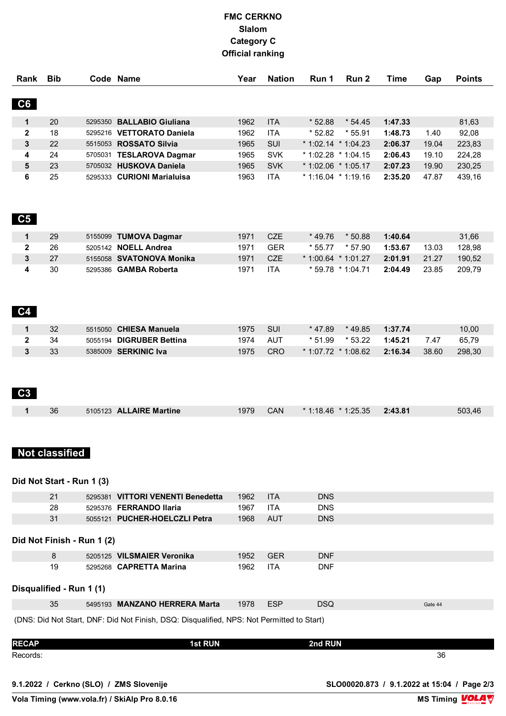## **FMC CERKNO Slalom Category C Official ranking**

| Rank                                                                                      | <b>Bib</b>                 |  | Code Name                         | Year | <b>Nation</b>            | Run 1                               | Run 2    | <b>Time</b> | Gap     | <b>Points</b>   |
|-------------------------------------------------------------------------------------------|----------------------------|--|-----------------------------------|------|--------------------------|-------------------------------------|----------|-------------|---------|-----------------|
| C6                                                                                        |                            |  |                                   |      |                          |                                     |          |             |         |                 |
| 1                                                                                         | 20                         |  | 5295350 BALLABIO Giuliana         | 1962 | <b>ITA</b>               | $*52.88$                            | $*54.45$ | 1:47.33     |         | 81,63           |
| $\boldsymbol{2}$                                                                          | 18                         |  | 5295216 VETTORATO Daniela         | 1962 | <b>ITA</b>               | $*52.82$                            | $*55.91$ | 1:48.73     | 1.40    | 92,08           |
| 3                                                                                         | 22                         |  | 5515053 ROSSATO Silvia            | 1965 | SUI                      | $*1:02.14 * 1:04.23$                |          | 2:06.37     | 19.04   | 223,83          |
| 4                                                                                         | 24                         |  | 5705031 TESLAROVA Dagmar          | 1965 | <b>SVK</b>               | * 1:02.28 * 1:04.15                 |          | 2:06.43     | 19.10   | 224,28          |
| ${\bf 5}$                                                                                 | 23                         |  | 5705032 HUSKOVA Daniela           | 1965 | <b>SVK</b>               | $*$ 1:02.06 $*$ 1:05.17             |          | 2:07.23     | 19.90   | 230,25          |
| 6                                                                                         | 25                         |  | 5295333 CURIONI Marialuisa        | 1963 | <b>ITA</b>               | $*$ 1:16.04 $*$ 1:19.16             |          | 2:35.20     | 47.87   | 439,16          |
| C5                                                                                        |                            |  |                                   |      |                          |                                     |          |             |         |                 |
| 1                                                                                         | 29                         |  | 5155099 TUMOVA Dagmar             | 1971 | CZE                      | $*49.76$                            | $*50.88$ | 1:40.64     |         | 31,66           |
| $\mathbf 2$                                                                               | 26                         |  | 5205142 NOELL Andrea              | 1971 | <b>GER</b>               | $*55.77$                            | * 57.90  | 1:53.67     | 13.03   | 128,98          |
| 3                                                                                         | 27                         |  | 5155058 SVATONOVA Monika          | 1971 | <b>CZE</b>               | $*1:00.64$ $*1:01.27$               |          | 2:01.91     | 21.27   | 190,52          |
| 4<br>C <sub>4</sub>                                                                       | 30                         |  | 5295386 GAMBA Roberta             | 1971 | <b>ITA</b>               | * 59.78 * 1:04.71                   |          | 2:04.49     | 23.85   | 209,79          |
| $\mathbf{1}$                                                                              | 32                         |  | 5515050 CHIESA Manuela            | 1975 | SUI                      | * 47.89                             | $*49.85$ | 1:37.74     |         |                 |
|                                                                                           | 34                         |  | 5055194 DIGRUBER Bettina          | 1974 |                          |                                     | $*53.22$ | 1:45.21     | 7.47    | 10,00           |
| $\mathbf 2$<br>3                                                                          | 33                         |  | 5385009 SERKINIC Iva              | 1975 | <b>AUT</b><br><b>CRO</b> | $*51.99$<br>$*$ 1:07.72 $*$ 1:08.62 |          | 2:16.34     | 38.60   | 65,79<br>298,30 |
| C <sub>3</sub>                                                                            |                            |  |                                   |      |                          |                                     |          |             |         |                 |
| $\mathbf{1}$                                                                              | 36                         |  | 5105123 ALLAIRE Martine           | 1979 | CAN                      | $*$ 1:18.46 $*$ 1:25.35             |          | 2:43.81     |         | 503,46          |
|                                                                                           | <b>Not classified</b>      |  |                                   |      |                          |                                     |          |             |         |                 |
|                                                                                           | Did Not Start - Run 1 (3)  |  |                                   |      |                          |                                     |          |             |         |                 |
|                                                                                           | 21                         |  | 5295381 VITTORI VENENTI Benedetta | 1962 | <b>ITA</b>               | <b>DNS</b>                          |          |             |         |                 |
|                                                                                           | 28                         |  | 5295376 FERRANDO Ilaria           | 1967 | <b>ITA</b>               | <b>DNS</b>                          |          |             |         |                 |
|                                                                                           | 31                         |  | 5055121 PUCHER-HOELCZLI Petra     | 1968 | <b>AUT</b>               | <b>DNS</b>                          |          |             |         |                 |
|                                                                                           | Did Not Finish - Run 1 (2) |  |                                   |      |                          |                                     |          |             |         |                 |
|                                                                                           | 8                          |  | 5205125 VILSMAIER Veronika        | 1952 | <b>GER</b>               | <b>DNF</b>                          |          |             |         |                 |
|                                                                                           | 19                         |  | 5295268 CAPRETTA Marina           | 1962 | <b>ITA</b>               | <b>DNF</b>                          |          |             |         |                 |
|                                                                                           | Disqualified - Run 1 (1)   |  |                                   |      |                          |                                     |          |             |         |                 |
|                                                                                           | 35                         |  | 5495193 MANZANO HERRERA Marta     | 1978 | <b>ESP</b>               | <b>DSQ</b>                          |          |             | Gate 44 |                 |
|                                                                                           |                            |  |                                   |      |                          |                                     |          |             |         |                 |
| (DNS: Did Not Start, DNF: Did Not Finish, DSQ: Disqualified, NPS: Not Permitted to Start) |                            |  |                                   |      |                          |                                     |          |             |         |                 |
| <b>RECAP</b>                                                                              |                            |  | <b>1st RUN</b>                    |      |                          | 2nd RUN                             |          |             |         |                 |
| Records:                                                                                  |                            |  |                                   |      |                          |                                     |          |             | 36      |                 |

**9.1.2022 / Cerkno (SLO) / ZMS Slovenije SLO00020.873 / 9.1.2022 at 15:04 / Page 2/3**

**Vola Timing (www.vola.fr) / SkiAlp Pro 8.0.16**